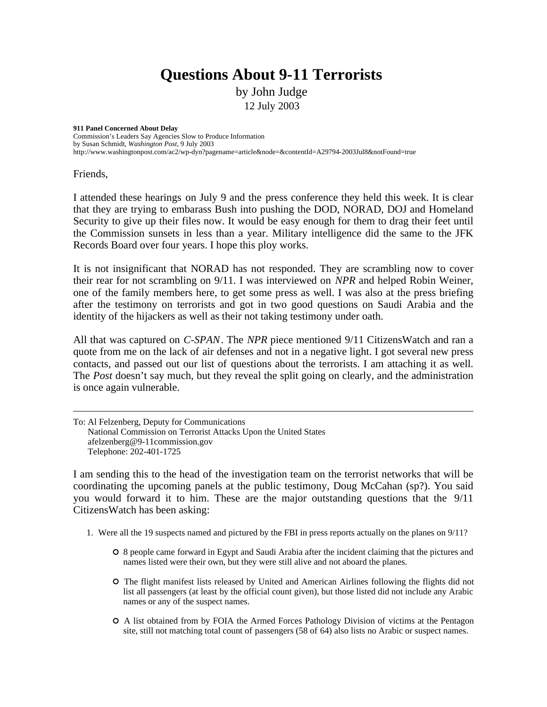## **Questions About 9-11 Terrorists**

by John Judge 12 July 2003

**911 Panel Concerned About Delay**  Commission's Leaders Say Agencies Slow to Produce Information by Susan Schmidt, *Washington Post*, 9 July 2003 http://www.washingtonpost.com/ac2/wp-dyn?pagename=article&node=&contentId=A29794-2003Jul8&notFound=true

Friends,

I attended these hearings on July 9 and the press conference they held this week. It is clear that they are trying to embarass Bush into pushing the DOD, NORAD, DOJ and Homeland Security to give up their files now. It would be easy enough for them to drag their feet until the Commission sunsets in less than a year. Military intelligence did the same to the JFK Records Board over four years. I hope this ploy works.

It is not insignificant that NORAD has not responded. They are scrambling now to cover their rear for not scrambling on 9/11. I was interviewed on *NPR* and helped Robin Weiner, one of the family members here, to get some press as well. I was also at the press briefing after the testimony on terrorists and got in two good questions on Saudi Arabia and the identity of the hijackers as well as their not taking testimony under oath.

All that was captured on *C-SPAN*. The *NPR* piece mentioned 9/11 CitizensWatch and ran a quote from me on the lack of air defenses and not in a negative light. I got several new press contacts, and passed out our list of questions about the terrorists. I am attaching it as well. The *Post* doesn't say much, but they reveal the split going on clearly, and the administration is once again vulnerable.

To: Al Felzenberg, Deputy for Communications National Commission on Terrorist Attacks Upon the United States afelzenberg@9-11commission.gov Telephone: 202-401-1725

I am sending this to the head of the investigation team on the terrorist networks that will be coordinating the upcoming panels at the public testimony, Doug McCahan (sp?). You said you would forward it to him. These are the major outstanding questions that the 9/11 CitizensWatch has been asking:

- 1. Were all the 19 suspects named and pictured by the FBI in press reports actually on the planes on 9/11?
	- 8 people came forward in Egypt and Saudi Arabia after the incident claiming that the pictures and names listed were their own, but they were still alive and not aboard the planes.
	- The flight manifest lists released by United and American Airlines following the flights did not list all passengers (at least by the official count given), but those listed did not include any Arabic names or any of the suspect names.
	- A list obtained from by FOIA the Armed Forces Pathology Division of victims at the Pentagon site, still not matching total count of passengers (58 of 64) also lists no Arabic or suspect names.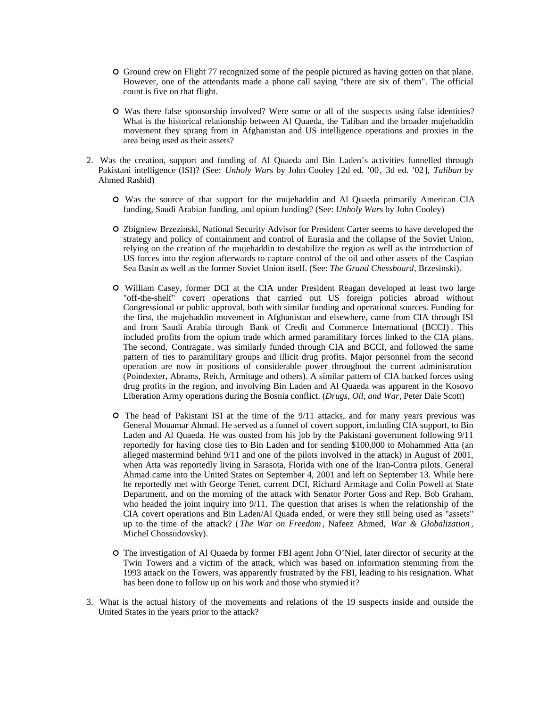- Ground crew on Flight 77 recognized some of the people pictured as having gotten on that plane. However, one of the attendants made a phone call saying "there are six of them". The official count is five on that flight.
- Was there false sponsorship involved? Were some or all of the suspects using false identities? What is the historical relationship between Al Quaeda, the Taliban and the broader mujehaddin movement they sprang from in Afghanistan and US intelligence operations and proxies in the area being used as their assets?
- 2. Was the creation, support and funding of Al Quaeda and Bin Laden's activities funnelled through Pakistani intelligence (ISI)? (See: *Unholy Wars* by John Cooley [2d ed. '00, 3d ed. '02], *Taliban* by Ahmed Rashid)
	- Was the source of that support for the mujehaddin and Al Quaeda primarily American CIA funding, Saudi Arabian funding, and opium funding? (See: *Unholy Wars* by John Cooley)
	- Zbigniew Brzezinski, National Security Advisor for President Carter seems to have developed the strategy and policy of containment and control of Eurasia and the collapse of the Soviet Union, relying on the creation of the mujehaddin to destabilize the region as well as the introduction of US forces into the region afterwards to capture control of the oil and other assets of the Caspian Sea Basin as well as the former Soviet Union itself. (See: *The Grand Chessboard*, Brzesinski).
	- William Casey, former DCI at the CIA under President Reagan developed at least two large "off-the-shelf" covert operations that carried out US foreign policies abroad without Congressional or public approval, both with similar funding and operational sources. Funding for the first, the mujehaddin movement in Afghanistan and elsewhere, came from CIA through ISI and from Saudi Arabia through Bank of Credit and Commerce International (BCCI) . This included profits from the opium trade which armed paramilitary forces linked to the CIA plans. The second, Contragate, was similarly funded through CIA and BCCI, and followed the same pattern of ties to paramilitary groups and illicit drug profits. Major personnel from the second operation are now in positions of considerable power throughout the current administration (Poindexter, Abrams, Reich, Armitage and others). A similar pattern of CIA backed forces using drug profits in the region, and involving Bin Laden and Al Quaeda was apparent in the Kosovo Liberation Army operations during the Bosnia conflict. (*Drugs, Oil, and War*, Peter Dale Scott)
	- The head of Pakistani ISI at the time of the 9/11 attacks, and for many years previous was General Mouamar Ahmad. He served as a funnel of covert support, including CIA support, to Bin Laden and Al Quaeda. He was ousted from his job by the Pakistani government following 9/11 reportedly for having close ties to Bin Laden and for sending \$100,000 to Mohammed Atta (an alleged mastermind behind 9/11 and one of the pilots involved in the attack) in August of 2001, when Atta was reportedly living in Sarasota, Florida with one of the Iran-Contra pilots. General Ahmad came into the United States on September 4, 2001 and left on September 13. While here he reportedly met with George Tenet, current DCI, Richard Armitage and Colin Powell at State Department, and on the morning of the attack with Senator Porter Goss and Rep. Bob Graham, who headed the joint inquiry into 9/11. The question that arises is when the relationship of the CIA covert operations and Bin Laden/Al Quada ended, or were they still being used as "assets" up to the time of the attack? ( *The War on Freedom* , Nafeez Ahmed, *War & Globalization* , Michel Chossudovsky).
	- The investigation of Al Quaeda by former FBI agent John O'Niel, later director of security at the Twin Towers and a victim of the attack, which was based on information stemming from the 1993 attack on the Towers, was apparently frustrated by the FBI, leading to his resignation. What has been done to follow up on his work and those who stymied it?
- 3. What is the actual history of the movements and relations of the 19 suspects inside and outside the United States in the years prior to the attack?